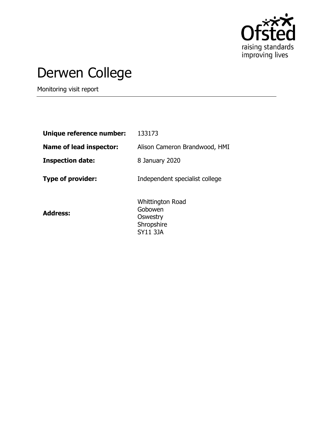

# Derwen College

Monitoring visit report

| Unique reference number:       | 133173                                                                   |
|--------------------------------|--------------------------------------------------------------------------|
| <b>Name of lead inspector:</b> | Alison Cameron Brandwood, HMI                                            |
| <b>Inspection date:</b>        | 8 January 2020                                                           |
| <b>Type of provider:</b>       | Independent specialist college                                           |
| <b>Address:</b>                | <b>Whittington Road</b><br>Gobowen<br>Oswestry<br>Shropshire<br>SY11 3JA |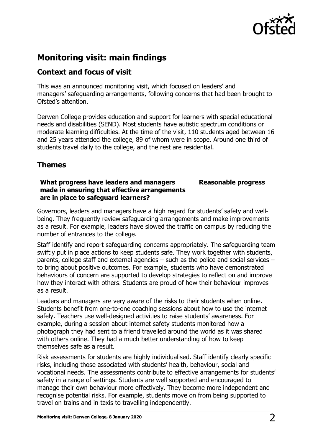

## **Monitoring visit: main findings**

#### **Context and focus of visit**

This was an announced monitoring visit, which focused on leaders' and managers' safeguarding arrangements, following concerns that had been brought to Ofsted's attention.

Derwen College provides education and support for learners with special educational needs and disabilities (SEND). Most students have autistic spectrum conditions or moderate learning difficulties. At the time of the visit, 110 students aged between 16 and 25 years attended the college, 89 of whom were in scope. Around one third of students travel daily to the college, and the rest are residential.

### **Themes**

#### **What progress have leaders and managers made in ensuring that effective arrangements are in place to safeguard learners?**

**Reasonable progress**

Governors, leaders and managers have a high regard for students' safety and wellbeing. They frequently review safeguarding arrangements and make improvements as a result. For example, leaders have slowed the traffic on campus by reducing the number of entrances to the college.

Staff identify and report safeguarding concerns appropriately. The safeguarding team swiftly put in place actions to keep students safe. They work together with students, parents, college staff and external agencies – such as the police and social services – to bring about positive outcomes. For example, students who have demonstrated behaviours of concern are supported to develop strategies to reflect on and improve how they interact with others. Students are proud of how their behaviour improves as a result.

Leaders and managers are very aware of the risks to their students when online. Students benefit from one-to-one coaching sessions about how to use the internet safely. Teachers use well-designed activities to raise students' awareness. For example, during a session about internet safety students monitored how a photograph they had sent to a friend travelled around the world as it was shared with others online. They had a much better understanding of how to keep themselves safe as a result.

Risk assessments for students are highly individualised. Staff identify clearly specific risks, including those associated with students' health, behaviour, social and vocational needs. The assessments contribute to effective arrangements for students' safety in a range of settings. Students are well supported and encouraged to manage their own behaviour more effectively. They become more independent and recognise potential risks. For example, students move on from being supported to travel on trains and in taxis to travelling independently.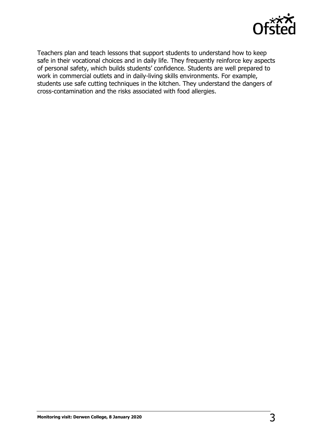

Teachers plan and teach lessons that support students to understand how to keep safe in their vocational choices and in daily life. They frequently reinforce key aspects of personal safety, which builds students' confidence. Students are well prepared to work in commercial outlets and in daily-living skills environments. For example, students use safe cutting techniques in the kitchen. They understand the dangers of cross-contamination and the risks associated with food allergies.